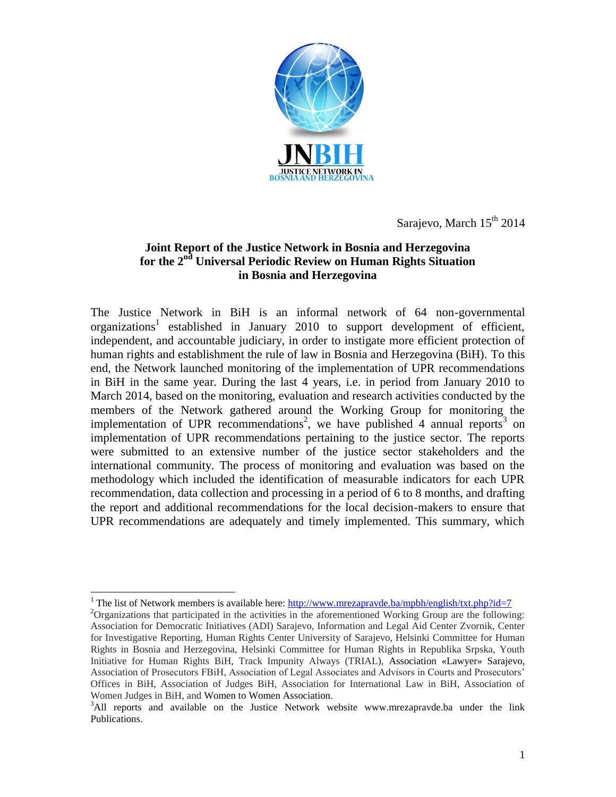

Sarajevo, March  $15<sup>th</sup> 2014$ 

## **Joint Report of the Justice Network in Bosnia and Herzegovina for the 2nd Universal Periodic Review on Human Rights Situation in Bosnia and Herzegovina**

The Justice Network in BiH is an informal network of 64 non-governmental organizations<sup>1</sup> established in January 2010 to support development of efficient, independent, and accountable judiciary, in order to instigate more efficient protection of human rights and establishment the rule of law in Bosnia and Herzegovina (BiH). To this end, the Network launched monitoring of the implementation of UPR recommendations in BiH in the same year. During the last 4 years, i.e. in period from January 2010 to March 2014, based on the monitoring, evaluation and research activities conducted by the members of the Network gathered around the Working Group for monitoring the implementation of UPR recommendations<sup>2</sup>, we have published 4 annual reports<sup>3</sup> on implementation of UPR recommendations pertaining to the justice sector. The reports were submitted to an extensive number of the justice sector stakeholders and the international community. The process of monitoring and evaluation was based on the methodology which included the identification of measurable indicators for each UPR recommendation, data collection and processing in a period of 6 to 8 months, and drafting the report and additional recommendations for the local decision-makers to ensure that UPR recommendations are adequately and timely implemented. This summary, which

l <sup>1</sup> The list of Network members is available here:<http://www.mrezapravde.ba/mpbh/english/txt.php?id=7>

<sup>&</sup>lt;sup>2</sup>Organizations that participated in the activities in the aforementioned Working Group are the following: Association for Democratic Initiatives (ADI) Sarajevo, Information and Legal Aid Center Zvornik, Center for Investigative Reporting, Human Rights Center University of Sarajevo, Helsinki Committee for Human Rights in Bosnia and Herzegovina, Helsinki Committee for Human Rights in Republika Srpska, Youth Initiative for Human Rights BiH, Track Impunity Always (TRIAL), Association «Lawyer» Sarajevo, Association of Prosecutors FBiH, Association of Legal Associates and Advisors in Courts and Prosecutors' Offices in BiH, Association of Judges BiH, Association for International Law in BiH, Association of Women Judges in BiH, and Women to Women Association.

<sup>&</sup>lt;sup>3</sup>All reports and available on the Justice Network website www.mrezapravde.ba under the link Publications.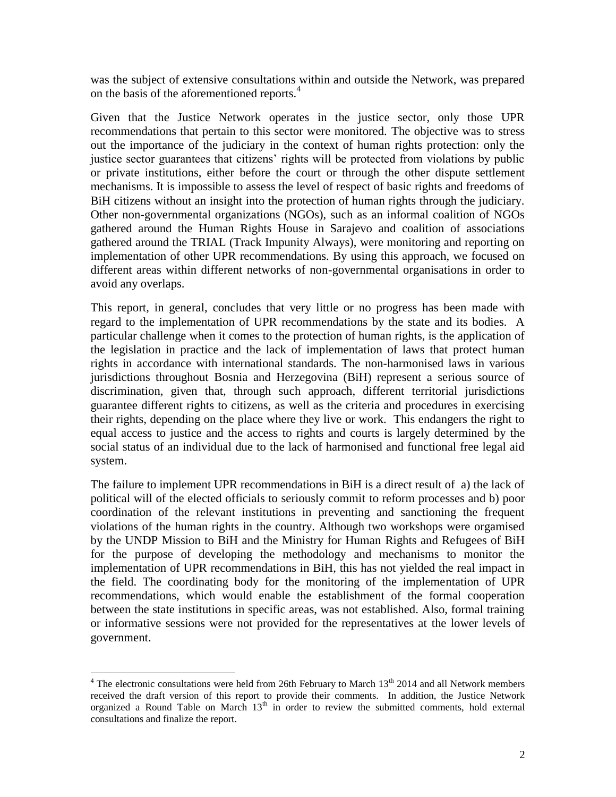was the subject of extensive consultations within and outside the Network, was prepared on the basis of the aforementioned reports.<sup>4</sup>

Given that the Justice Network operates in the justice sector, only those UPR recommendations that pertain to this sector were monitored. The objective was to stress out the importance of the judiciary in the context of human rights protection: only the justice sector guarantees that citizens' rights will be protected from violations by public or private institutions, either before the court or through the other dispute settlement mechanisms. It is impossible to assess the level of respect of basic rights and freedoms of BiH citizens without an insight into the protection of human rights through the judiciary. Other non-governmental organizations (NGOs), such as an informal coalition of NGOs gathered around the Human Rights House in Sarajevo and coalition of associations gathered around the TRIAL (Track Impunity Always), were monitoring and reporting on implementation of other UPR recommendations. By using this approach, we focused on different areas within different networks of non-governmental organisations in order to avoid any overlaps.

This report, in general, concludes that very little or no progress has been made with regard to the implementation of UPR recommendations by the state and its bodies. A particular challenge when it comes to the protection of human rights, is the application of the legislation in practice and the lack of implementation of laws that protect human rights in accordance with international standards. The non-harmonised laws in various jurisdictions throughout Bosnia and Herzegovina (BiH) represent a serious source of discrimination, given that, through such approach, different territorial jurisdictions guarantee different rights to citizens, as well as the criteria and procedures in exercising their rights, depending on the place where they live or work. This endangers the right to equal access to justice and the access to rights and courts is largely determined by the social status of an individual due to the lack of harmonised and functional free legal aid system.

The failure to implement UPR recommendations in BiH is a direct result of a) the lack of political will of the elected officials to seriously commit to reform processes and b) poor coordination of the relevant institutions in preventing and sanctioning the frequent violations of the human rights in the country. Although two workshops were orgamised by the UNDP Mission to BiH and the Ministry for Human Rights and Refugees of BiH for the purpose of developing the methodology and mechanisms to monitor the implementation of UPR recommendations in BiH, this has not yielded the real impact in the field. The coordinating body for the monitoring of the implementation of UPR recommendations, which would enable the establishment of the formal cooperation between the state institutions in specific areas, was not established. Also, formal training or informative sessions were not provided for the representatives at the lower levels of government.

 $\overline{a}$ 

 $4$  The electronic consultations were held from 26th February to March  $13<sup>th</sup>$  2014 and all Network members received the draft version of this report to provide their comments. In addition, the Justice Network organized a Round Table on March  $13<sup>th</sup>$  in order to review the submitted comments, hold external consultations and finalize the report.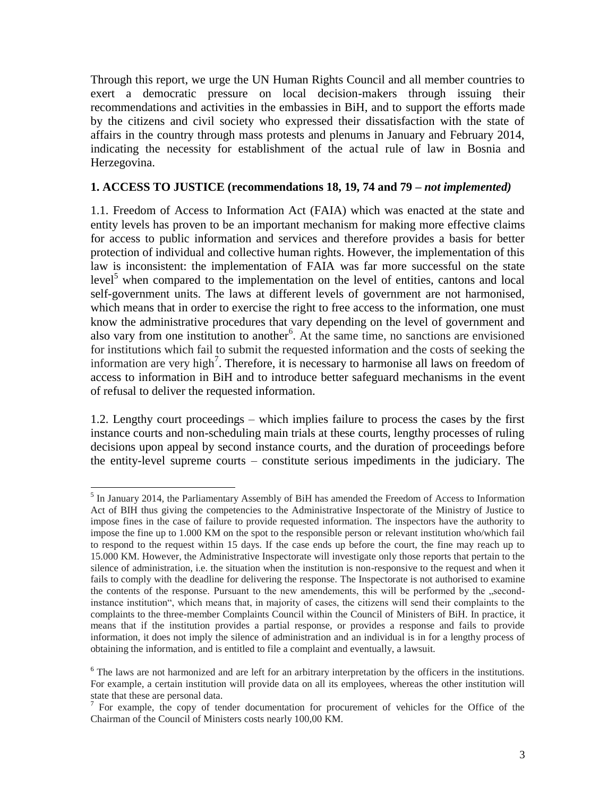Through this report, we urge the UN Human Rights Council and all member countries to exert a democratic pressure on local decision-makers through issuing their recommendations and activities in the embassies in BiH, and to support the efforts made by the citizens and civil society who expressed their dissatisfaction with the state of affairs in the country through mass protests and plenums in January and February 2014, indicating the necessity for establishment of the actual rule of law in Bosnia and Herzegovina.

### **1. ACCESS TO JUSTICE (recommendations 18, 19, 74 and 79 –** *not implemented)*

1.1. Freedom of Access to Information Act (FAIA) which was enacted at the state and entity levels has proven to be an important mechanism for making more effective claims for access to public information and services and therefore provides a basis for better protection of individual and collective human rights. However, the implementation of this law is inconsistent: the implementation of FAIA was far more successful on the state level<sup>3</sup> when compared to the implementation on the level of entities, cantons and local self-government units. The laws at different levels of government are not harmonised, which means that in order to exercise the right to free access to the information, one must know the administrative procedures that vary depending on the level of government and also vary from one institution to another<sup>6</sup>. At the same time, no sanctions are envisioned for institutions which fail to submit the requested information and the costs of seeking the information are very high<sup>7</sup>. Therefore, it is necessary to harmonise all laws on freedom of access to information in BiH and to introduce better safeguard mechanisms in the event of refusal to deliver the requested information.

1.2. Lengthy court proceedings – which implies failure to process the cases by the first instance courts and non-scheduling main trials at these courts, lengthy processes of ruling decisions upon appeal by second instance courts, and the duration of proceedings before the entity-level supreme courts – constitute serious impediments in the judiciary. The

 $\overline{a}$ 

<sup>&</sup>lt;sup>5</sup> In January 2014, the Parliamentary Assembly of BiH has amended the Freedom of Access to Information Act of BIH thus giving the competencies to the Administrative Inspectorate of the Ministry of Justice to impose fines in the case of failure to provide requested information. The inspectors have the authority to impose the fine up to 1.000 KM on the spot to the responsible person or relevant institution who/which fail to respond to the request within 15 days. If the case ends up before the court, the fine may reach up to 15.000 KM. However, the Administrative Inspectorate will investigate only those reports that pertain to the silence of administration, i.e. the situation when the institution is non-responsive to the request and when it fails to comply with the deadline for delivering the response. The Inspectorate is not authorised to examine the contents of the response. Pursuant to the new amendements, this will be performed by the "secondinstance institution", which means that, in majority of cases, the citizens will send their complaints to the complaints to the three-member Complaints Council within the Council of Ministers of BiH. In practice, it means that if the institution provides a partial response, or provides a response and fails to provide information, it does not imply the silence of administration and an individual is in for a lengthy process of obtaining the information, and is entitled to file a complaint and eventually, a lawsuit.

<sup>&</sup>lt;sup>6</sup> The laws are not harmonized and are left for an arbitrary interpretation by the officers in the institutions. For example, a certain institution will provide data on all its employees, whereas the other institution will state that these are personal data.<br><sup>7</sup> For example, the copy of tender documentation for procurement of vehicles for the Office of the

Chairman of the Council of Ministers costs nearly 100,00 KM.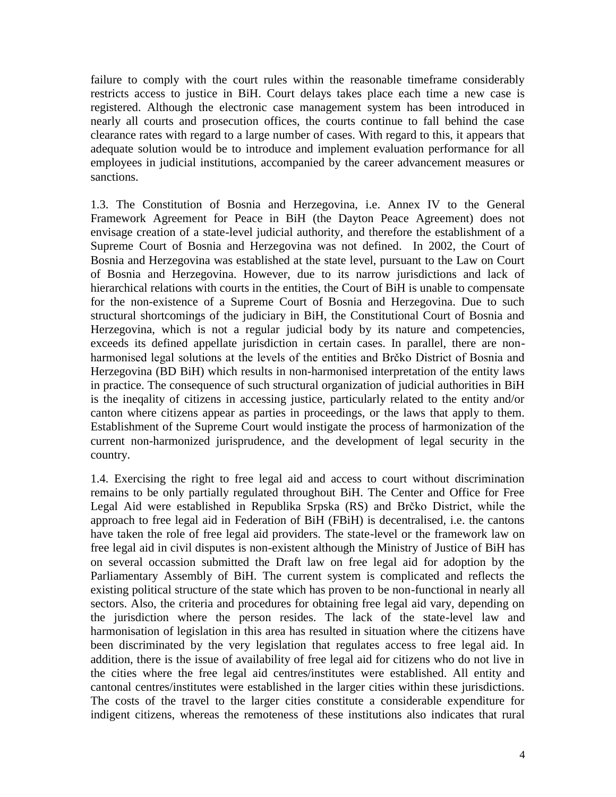failure to comply with the court rules within the reasonable timeframe considerably restricts access to justice in BiH. Court delays takes place each time a new case is registered. Although the electronic case management system has been introduced in nearly all courts and prosecution offices, the courts continue to fall behind the case clearance rates with regard to a large number of cases. With regard to this, it appears that adequate solution would be to introduce and implement evaluation performance for all employees in judicial institutions, accompanied by the career advancement measures or sanctions.

1.3. The Constitution of Bosnia and Herzegovina, i.e. Annex IV to the General Framework Agreement for Peace in BiH (the Dayton Peace Agreement) does not envisage creation of a state-level judicial authority, and therefore the establishment of a Supreme Court of Bosnia and Herzegovina was not defined. In 2002, the Court of Bosnia and Herzegovina was established at the state level, pursuant to the Law on Court of Bosnia and Herzegovina. However, due to its narrow jurisdictions and lack of hierarchical relations with courts in the entities, the Court of BiH is unable to compensate for the non-existence of a Supreme Court of Bosnia and Herzegovina. Due to such structural shortcomings of the judiciary in BiH, the Constitutional Court of Bosnia and Herzegovina, which is not a regular judicial body by its nature and competencies, exceeds its defined appellate jurisdiction in certain cases. In parallel, there are nonharmonised legal solutions at the levels of the entities and Brčko District of Bosnia and Herzegovina (BD BiH) which results in non-harmonised interpretation of the entity laws in practice. The consequence of such structural organization of judicial authorities in BiH is the ineqality of citizens in accessing justice, particularly related to the entity and/or canton where citizens appear as parties in proceedings, or the laws that apply to them. Establishment of the Supreme Court would instigate the process of harmonization of the current non-harmonized jurisprudence, and the development of legal security in the country.

1.4. Exercising the right to free legal aid and access to court without discrimination remains to be only partially regulated throughout BiH. The Center and Office for Free Legal Aid were established in Republika Srpska (RS) and Brčko District, while the approach to free legal aid in Federation of BiH (FBiH) is decentralised, i.e. the cantons have taken the role of free legal aid providers. The state-level or the framework law on free legal aid in civil disputes is non-existent although the Ministry of Justice of BiH has on several occassion submitted the Draft law on free legal aid for adoption by the Parliamentary Assembly of BiH. The current system is complicated and reflects the existing political structure of the state which has proven to be non-functional in nearly all sectors. Also, the criteria and procedures for obtaining free legal aid vary, depending on the jurisdiction where the person resides. The lack of the state-level law and harmonisation of legislation in this area has resulted in situation where the citizens have been discriminated by the very legislation that regulates access to free legal aid. In addition, there is the issue of availability of free legal aid for citizens who do not live in the cities where the free legal aid centres/institutes were established. All entity and cantonal centres/institutes were established in the larger cities within these jurisdictions. The costs of the travel to the larger cities constitute a considerable expenditure for indigent citizens, whereas the remoteness of these institutions also indicates that rural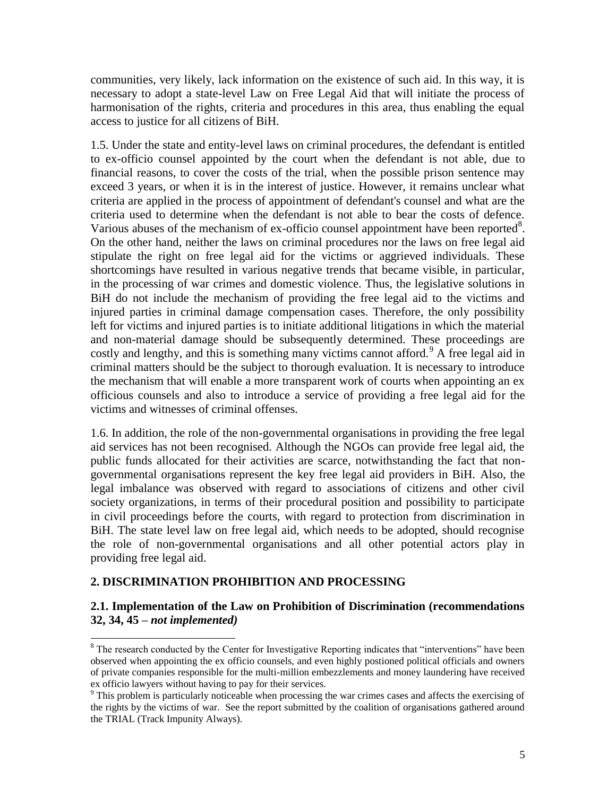communities, very likely, lack information on the existence of such aid. In this way, it is necessary to adopt a state-level Law on Free Legal Aid that will initiate the process of harmonisation of the rights, criteria and procedures in this area, thus enabling the equal access to justice for all citizens of BiH.

1.5. Under the state and entity-level laws on criminal procedures, the defendant is entitled to ex-officio counsel appointed by the court when the defendant is not able, due to financial reasons, to cover the costs of the trial, when the possible prison sentence may exceed 3 years, or when it is in the interest of justice. However, it remains unclear what criteria are applied in the process of appointment of defendant's counsel and what are the criteria used to determine when the defendant is not able to bear the costs of defence. Various abuses of the mechanism of ex-officio counsel appointment have been reported<sup>8</sup>. On the other hand, neither the laws on criminal procedures nor the laws on free legal aid stipulate the right on free legal aid for the victims or aggrieved individuals. These shortcomings have resulted in various negative trends that became visible, in particular, in the processing of war crimes and domestic violence. Thus, the legislative solutions in BiH do not include the mechanism of providing the free legal aid to the victims and injured parties in criminal damage compensation cases. Therefore, the only possibility left for victims and injured parties is to initiate additional litigations in which the material and non-material damage should be subsequently determined. These proceedings are costly and lengthy, and this is something many victims cannot afford.<sup>9</sup> A free legal aid in criminal matters should be the subject to thorough evaluation. It is necessary to introduce the mechanism that will enable a more transparent work of courts when appointing an ex officious counsels and also to introduce a service of providing a free legal aid for the victims and witnesses of criminal offenses.

1.6. In addition, the role of the non-governmental organisations in providing the free legal aid services has not been recognised. Although the NGOs can provide free legal aid, the public funds allocated for their activities are scarce, notwithstanding the fact that nongovernmental organisations represent the key free legal aid providers in BiH. Also, the legal imbalance was observed with regard to associations of citizens and other civil society organizations, in terms of their procedural position and possibility to participate in civil proceedings before the courts, with regard to protection from discrimination in BiH. The state level law on free legal aid, which needs to be adopted, should recognise the role of non-governmental organisations and all other potential actors play in providing free legal aid.

### **2. DISCRIMINATION PROHIBITION AND PROCESSING**

 $\overline{a}$ 

### **2.1. Implementation of the Law on Prohibition of Discrimination (recommendations 32, 34, 45 –** *not implemented)*

<sup>&</sup>lt;sup>8</sup> The research conducted by the Center for Investigative Reporting indicates that "interventions" have been observed when appointing the ex officio counsels, and even highly postioned political officials and owners of private companies responsible for the multi-million embezzlements and money laundering have received ex officio lawyers without having to pay for their services.

<sup>&</sup>lt;sup>9</sup> This problem is particularly noticeable when processing the war crimes cases and affects the exercising of the rights by the victims of war. See the report submitted by the coalition of organisations gathered around the TRIAL (Track Impunity Always).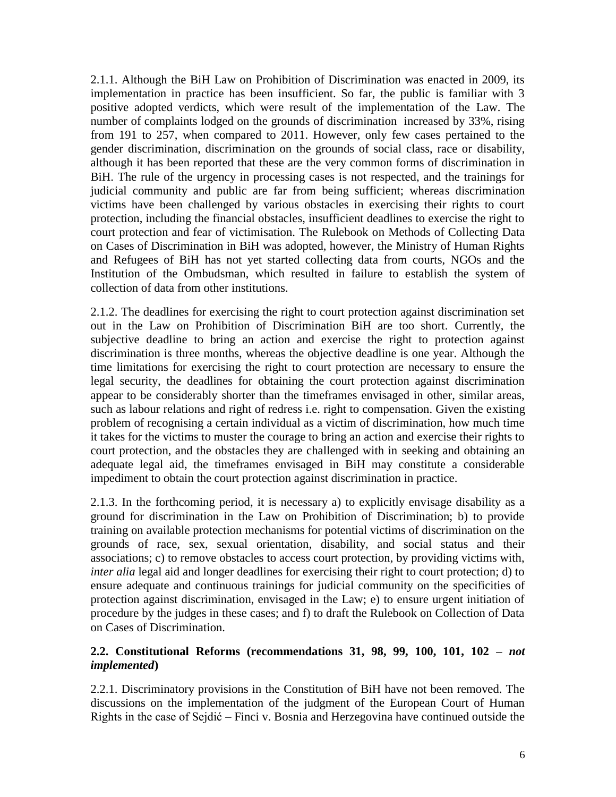2.1.1. Although the BiH Law on Prohibition of Discrimination was enacted in 2009, its implementation in practice has been insufficient. So far, the public is familiar with 3 positive adopted verdicts, which were result of the implementation of the Law. The number of complaints lodged on the grounds of discrimination increased by 33%, rising from 191 to 257, when compared to 2011. However, only few cases pertained to the gender discrimination, discrimination on the grounds of social class, race or disability, although it has been reported that these are the very common forms of discrimination in BiH. The rule of the urgency in processing cases is not respected, and the trainings for judicial community and public are far from being sufficient; whereas discrimination victims have been challenged by various obstacles in exercising their rights to court protection, including the financial obstacles, insufficient deadlines to exercise the right to court protection and fear of victimisation. The Rulebook on Methods of Collecting Data on Cases of Discrimination in BiH was adopted, however, the Ministry of Human Rights and Refugees of BiH has not yet started collecting data from courts, NGOs and the Institution of the Ombudsman, which resulted in failure to establish the system of collection of data from other institutions.

2.1.2. The deadlines for exercising the right to court protection against discrimination set out in the Law on Prohibition of Discrimination BiH are too short. Currently, the subjective deadline to bring an action and exercise the right to protection against discrimination is three months, whereas the objective deadline is one year. Although the time limitations for exercising the right to court protection are necessary to ensure the legal security, the deadlines for obtaining the court protection against discrimination appear to be considerably shorter than the timeframes envisaged in other, similar areas, such as labour relations and right of redress i.e. right to compensation. Given the existing problem of recognising a certain individual as a victim of discrimination, how much time it takes for the victims to muster the courage to bring an action and exercise their rights to court protection, and the obstacles they are challenged with in seeking and obtaining an adequate legal aid, the timeframes envisaged in BiH may constitute a considerable impediment to obtain the court protection against discrimination in practice.

2.1.3. In the forthcoming period, it is necessary a) to explicitly envisage disability as a ground for discrimination in the Law on Prohibition of Discrimination; b) to provide training on available protection mechanisms for potential victims of discrimination on the grounds of race, sex, sexual orientation, disability, and social status and their associations; c) to remove obstacles to access court protection, by providing victims with, *inter alia* legal aid and longer deadlines for exercising their right to court protection; d) to ensure adequate and continuous trainings for judicial community on the specificities of protection against discrimination, envisaged in the Law; e) to ensure urgent initiation of procedure by the judges in these cases; and f) to draft the Rulebook on Collection of Data on Cases of Discrimination.

### **2.2. Constitutional Reforms (recommendations 31, 98, 99, 100, 101, 102 –** *not implemented***)**

2.2.1. Discriminatory provisions in the Constitution of BiH have not been removed. The discussions on the implementation of the judgment of the European Court of Human Rights in the case of Sejdić – Finci v. Bosnia and Herzegovina have continued outside the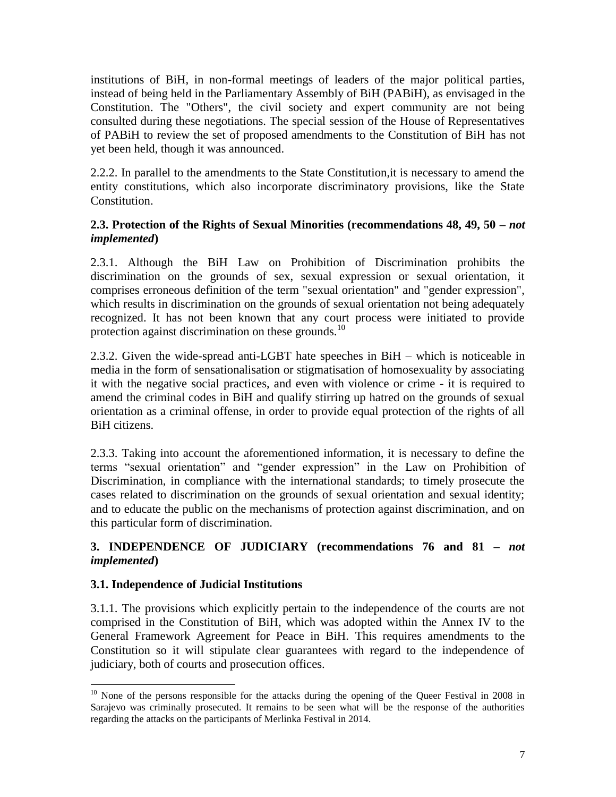institutions of BiH, in non-formal meetings of leaders of the major political parties, instead of being held in the Parliamentary Assembly of BiH (PABiH), as envisaged in the Constitution. The "Others", the civil society and expert community are not being consulted during these negotiations. The special session of the House of Representatives of PABiH to review the set of proposed amendments to the Constitution of BiH has not yet been held, though it was announced.

2.2.2. In parallel to the amendments to the State Constitution,it is necessary to amend the entity constitutions, which also incorporate discriminatory provisions, like the State Constitution.

## **2.3. Protection of the Rights of Sexual Minorities (recommendations 48, 49, 50 –** *not implemented***)**

2.3.1. Although the BiH Law on Prohibition of Discrimination prohibits the discrimination on the grounds of sex, sexual expression or sexual orientation, it comprises erroneous definition of the term "sexual orientation" and "gender expression", which results in discrimination on the grounds of sexual orientation not being adequately recognized. It has not been known that any court process were initiated to provide protection against discrimination on these grounds.<sup>10</sup>

2.3.2. Given the wide-spread anti-LGBT hate speeches in BiH – which is noticeable in media in the form of sensationalisation or stigmatisation of homosexuality by associating it with the negative social practices, and even with violence or crime - it is required to amend the criminal codes in BiH and qualify stirring up hatred on the grounds of sexual orientation as a criminal offense, in order to provide equal protection of the rights of all BiH citizens.

2.3.3. Taking into account the aforementioned information, it is necessary to define the terms "sexual orientation" and "gender expression" in the Law on Prohibition of Discrimination, in compliance with the international standards; to timely prosecute the cases related to discrimination on the grounds of sexual orientation and sexual identity; and to educate the public on the mechanisms of protection against discrimination, and on this particular form of discrimination.

# **3. INDEPENDENCE OF JUDICIARY (recommendations 76 and 81 –** *not implemented***)**

## **3.1. Independence of Judicial Institutions**

3.1.1. The provisions which explicitly pertain to the independence of the courts are not comprised in the Constitution of BiH, which was adopted within the Annex IV to the General Framework Agreement for Peace in BiH. This requires amendments to the Constitution so it will stipulate clear guarantees with regard to the independence of judiciary, both of courts and prosecution offices.

l <sup>10</sup> None of the persons responsible for the attacks during the opening of the Queer Festival in 2008 in Sarajevo was criminally prosecuted. It remains to be seen what will be the response of the authorities regarding the attacks on the participants of Merlinka Festival in 2014.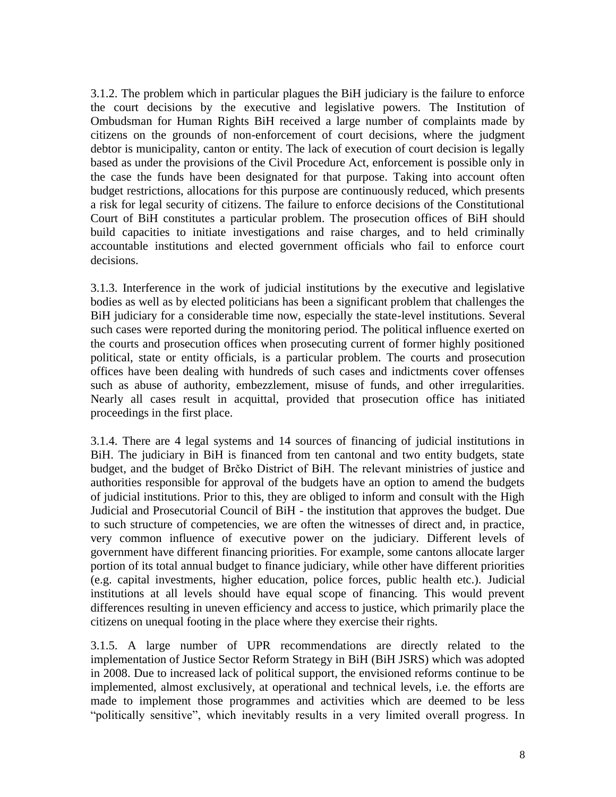3.1.2. The problem which in particular plagues the BiH judiciary is the failure to enforce the court decisions by the executive and legislative powers. The Institution of Ombudsman for Human Rights BiH received a large number of complaints made by citizens on the grounds of non-enforcement of court decisions, where the judgment debtor is municipality, canton or entity. The lack of execution of court decision is legally based as under the provisions of the Civil Procedure Act, enforcement is possible only in the case the funds have been designated for that purpose. Taking into account often budget restrictions, allocations for this purpose are continuously reduced, which presents a risk for legal security of citizens. The failure to enforce decisions of the Constitutional Court of BiH constitutes a particular problem. The prosecution offices of BiH should build capacities to initiate investigations and raise charges, and to held criminally accountable institutions and elected government officials who fail to enforce court decisions.

3.1.3. Interference in the work of judicial institutions by the executive and legislative bodies as well as by elected politicians has been a significant problem that challenges the BiH judiciary for a considerable time now, especially the state-level institutions. Several such cases were reported during the monitoring period. The political influence exerted on the courts and prosecution offices when prosecuting current of former highly positioned political, state or entity officials, is a particular problem. The courts and prosecution offices have been dealing with hundreds of such cases and indictments cover offenses such as abuse of authority, embezzlement, misuse of funds, and other irregularities. Nearly all cases result in acquittal, provided that prosecution office has initiated proceedings in the first place.

3.1.4. There are 4 legal systems and 14 sources of financing of judicial institutions in BiH. The judiciary in BiH is financed from ten cantonal and two entity budgets, state budget, and the budget of Brčko District of BiH. The relevant ministries of justice and authorities responsible for approval of the budgets have an option to amend the budgets of judicial institutions. Prior to this, they are obliged to inform and consult with the High Judicial and Prosecutorial Council of BiH - the institution that approves the budget. Due to such structure of competencies, we are often the witnesses of direct and, in practice, very common influence of executive power on the judiciary. Different levels of government have different financing priorities. For example, some cantons allocate larger portion of its total annual budget to finance judiciary, while other have different priorities (e.g. capital investments, higher education, police forces, public health etc.). Judicial institutions at all levels should have equal scope of financing. This would prevent differences resulting in uneven efficiency and access to justice, which primarily place the citizens on unequal footing in the place where they exercise their rights.

3.1.5. A large number of UPR recommendations are directly related to the implementation of Justice Sector Reform Strategy in BiH (BiH JSRS) which was adopted in 2008. Due to increased lack of political support, the envisioned reforms continue to be implemented, almost exclusively, at operational and technical levels, i.e. the efforts are made to implement those programmes and activities which are deemed to be less "politically sensitive", which inevitably results in a very limited overall progress. In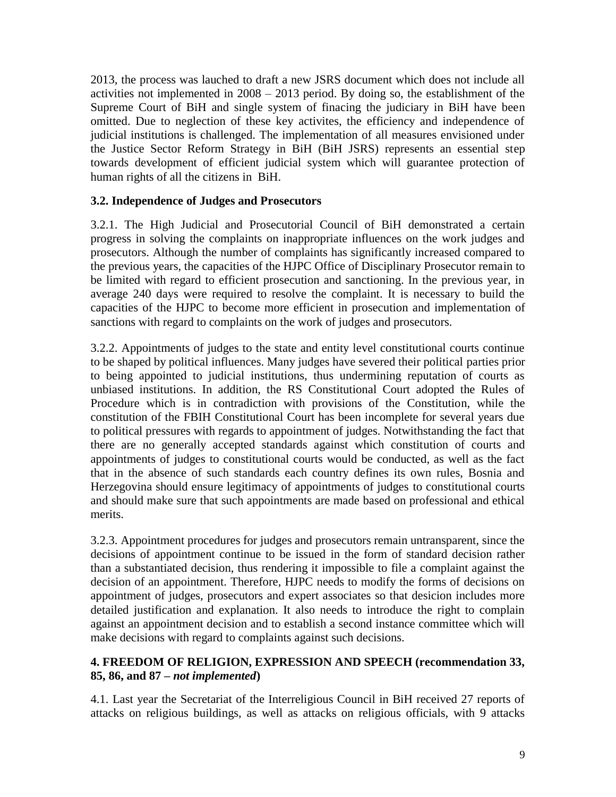2013, the process was lauched to draft a new JSRS document which does not include all activities not implemented in 2008 – 2013 period. By doing so, the establishment of the Supreme Court of BiH and single system of finacing the judiciary in BiH have been omitted. Due to neglection of these key activites, the efficiency and independence of judicial institutions is challenged. The implementation of all measures envisioned under the Justice Sector Reform Strategy in BiH (BiH JSRS) represents an essential step towards development of efficient judicial system which will guarantee protection of human rights of all the citizens in BiH.

### **3.2. Independence of Judges and Prosecutors**

3.2.1. The High Judicial and Prosecutorial Council of BiH demonstrated a certain progress in solving the complaints on inappropriate influences on the work judges and prosecutors. Although the number of complaints has significantly increased compared to the previous years, the capacities of the HJPC Office of Disciplinary Prosecutor remain to be limited with regard to efficient prosecution and sanctioning. In the previous year, in average 240 days were required to resolve the complaint. It is necessary to build the capacities of the HJPC to become more efficient in prosecution and implementation of sanctions with regard to complaints on the work of judges and prosecutors.

3.2.2. Appointments of judges to the state and entity level constitutional courts continue to be shaped by political influences. Many judges have severed their political parties prior to being appointed to judicial institutions, thus undermining reputation of courts as unbiased institutions. In addition, the RS Constitutional Court adopted the Rules of Procedure which is in contradiction with provisions of the Constitution, while the constitution of the FBIH Constitutional Court has been incomplete for several years due to political pressures with regards to appointment of judges. Notwithstanding the fact that there are no generally accepted standards against which constitution of courts and appointments of judges to constitutional courts would be conducted, as well as the fact that in the absence of such standards each country defines its own rules, Bosnia and Herzegovina should ensure legitimacy of appointments of judges to constitutional courts and should make sure that such appointments are made based on professional and ethical merits.

3.2.3. Appointment procedures for judges and prosecutors remain untransparent, since the decisions of appointment continue to be issued in the form of standard decision rather than a substantiated decision, thus rendering it impossible to file a complaint against the decision of an appointment. Therefore, HJPC needs to modify the forms of decisions on appointment of judges, prosecutors and expert associates so that desicion includes more detailed justification and explanation. It also needs to introduce the right to complain against an appointment decision and to establish a second instance committee which will make decisions with regard to complaints against such decisions.

### **4. FREEDOM OF RELIGION, EXPRESSION AND SPEECH (recommendation 33, 85, 86, and 87 –** *not implemented***)**

4.1. Last year the Secretariat of the Interreligious Council in BiH received 27 reports of attacks on religious buildings, as well as attacks on religious officials, with 9 attacks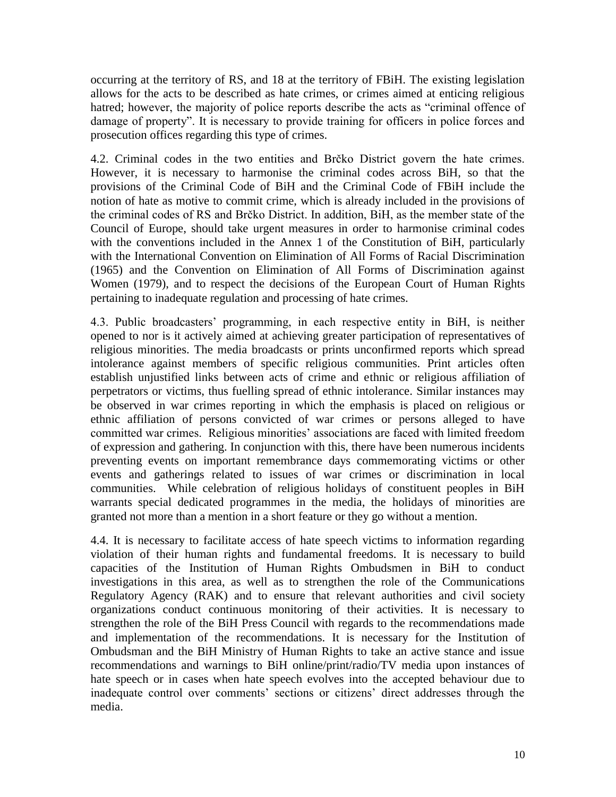occurring at the territory of RS, and 18 at the territory of FBiH. The existing legislation allows for the acts to be described as hate crimes, or crimes aimed at enticing religious hatred; however, the majority of police reports describe the acts as "criminal offence of damage of property". It is necessary to provide training for officers in police forces and prosecution offices regarding this type of crimes.

4.2. Criminal codes in the two entities and Brčko District govern the hate crimes. However, it is necessary to harmonise the criminal codes across BiH, so that the provisions of the Criminal Code of BiH and the Criminal Code of FBiH include the notion of hate as motive to commit crime, which is already included in the provisions of the criminal codes of RS and Brčko District. In addition, BiH, as the member state of the Council of Europe, should take urgent measures in order to harmonise criminal codes with the conventions included in the Annex 1 of the Constitution of BiH, particularly with the International Convention on Elimination of All Forms of Racial Discrimination (1965) and the Convention on Elimination of All Forms of Discrimination against Women (1979), and to respect the decisions of the European Court of Human Rights pertaining to inadequate regulation and processing of hate crimes.

4.3. Public broadcasters' programming, in each respective entity in BiH, is neither opened to nor is it actively aimed at achieving greater participation of representatives of religious minorities. The media broadcasts or prints unconfirmed reports which spread intolerance against members of specific religious communities. Print articles often establish unjustified links between acts of crime and ethnic or religious affiliation of perpetrators or victims, thus fuelling spread of ethnic intolerance. Similar instances may be observed in war crimes reporting in which the emphasis is placed on religious or ethnic affiliation of persons convicted of war crimes or persons alleged to have committed war crimes. Religious minorities' associations are faced with limited freedom of expression and gathering. In conjunction with this, there have been numerous incidents preventing events on important remembrance days commemorating victims or other events and gatherings related to issues of war crimes or discrimination in local communities. While celebration of religious holidays of constituent peoples in BiH warrants special dedicated programmes in the media, the holidays of minorities are granted not more than a mention in a short feature or they go without a mention.

4.4. It is necessary to facilitate access of hate speech victims to information regarding violation of their human rights and fundamental freedoms. It is necessary to build capacities of the Institution of Human Rights Ombudsmen in BiH to conduct investigations in this area, as well as to strengthen the role of the Communications Regulatory Agency (RAK) and to ensure that relevant authorities and civil society organizations conduct continuous monitoring of their activities. It is necessary to strengthen the role of the BiH Press Council with regards to the recommendations made and implementation of the recommendations. It is necessary for the Institution of Ombudsman and the BiH Ministry of Human Rights to take an active stance and issue recommendations and warnings to BiH online/print/radio/TV media upon instances of hate speech or in cases when hate speech evolves into the accepted behaviour due to inadequate control over comments' sections or citizens' direct addresses through the media.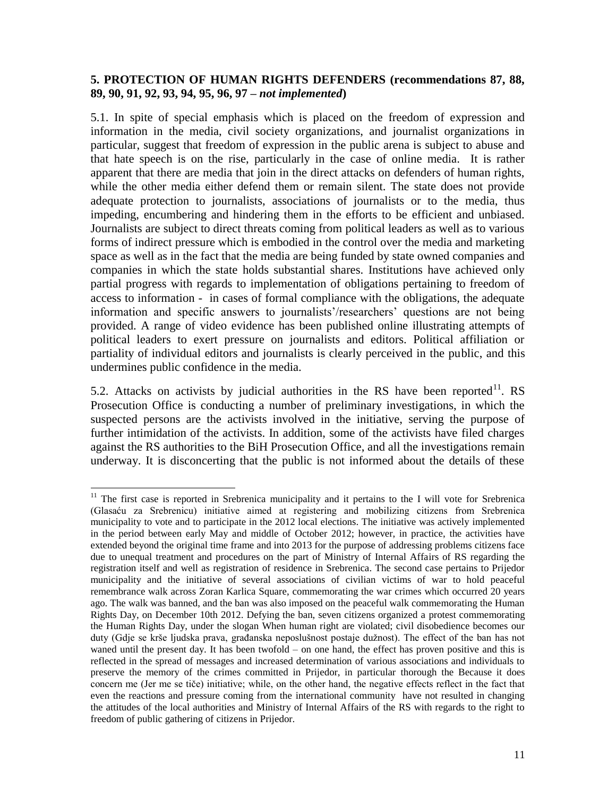### **5. PROTECTION OF HUMAN RIGHTS DEFENDERS (recommendations 87, 88, 89, 90, 91, 92, 93, 94, 95, 96, 97 –** *not implemented***)**

5.1. In spite of special emphasis which is placed on the freedom of expression and information in the media, civil society organizations, and journalist organizations in particular, suggest that freedom of expression in the public arena is subject to abuse and that hate speech is on the rise, particularly in the case of online media. It is rather apparent that there are media that join in the direct attacks on defenders of human rights, while the other media either defend them or remain silent. The state does not provide adequate protection to journalists, associations of journalists or to the media, thus impeding, encumbering and hindering them in the efforts to be efficient and unbiased. Journalists are subject to direct threats coming from political leaders as well as to various forms of indirect pressure which is embodied in the control over the media and marketing space as well as in the fact that the media are being funded by state owned companies and companies in which the state holds substantial shares. Institutions have achieved only partial progress with regards to implementation of obligations pertaining to freedom of access to information - in cases of formal compliance with the obligations, the adequate information and specific answers to journalists'/researchers' questions are not being provided. A range of video evidence has been published online illustrating attempts of political leaders to exert pressure on journalists and editors. Political affiliation or partiality of individual editors and journalists is clearly perceived in the public, and this undermines public confidence in the media.

5.2. Attacks on activists by judicial authorities in the RS have been reported  $11$ . RS Prosecution Office is conducting a number of preliminary investigations, in which the suspected persons are the activists involved in the initiative, serving the purpose of further intimidation of the activists. In addition, some of the activists have filed charges against the RS authorities to the BiH Prosecution Office, and all the investigations remain underway. It is disconcerting that the public is not informed about the details of these

l <sup>11</sup> The first case is reported in Srebrenica municipality and it pertains to the I will vote for Srebrenica (Glasaću za Srebrenicu) initiative aimed at registering and mobilizing citizens from Srebrenica municipality to vote and to participate in the 2012 local elections. The initiative was actively implemented in the period between early May and middle of October 2012; however, in practice, the activities have extended beyond the original time frame and into 2013 for the purpose of addressing problems citizens face due to unequal treatment and procedures on the part of Ministry of Internal Affairs of RS regarding the registration itself and well as registration of residence in Srebrenica. The second case pertains to Prijedor municipality and the initiative of several associations of civilian victims of war to hold peaceful remembrance walk across Zoran Karlica Square, commemorating the war crimes which occurred 20 years ago. The walk was banned, and the ban was also imposed on the peaceful walk commemorating the Human Rights Day, on December 10th 2012. Defying the ban, seven citizens organized a protest commemorating the Human Rights Day, under the slogan When human right are violated; civil disobedience becomes our duty (Gdje se krše ljudska prava, građanska neposlušnost postaje dužnost). The effect of the ban has not waned until the present day. It has been twofold – on one hand, the effect has proven positive and this is reflected in the spread of messages and increased determination of various associations and individuals to preserve the memory of the crimes committed in Prijedor, in particular thorough the Because it does concern me (Jer me se tiče) initiative; while, on the other hand, the negative effects reflect in the fact that even the reactions and pressure coming from the international community have not resulted in changing the attitudes of the local authorities and Ministry of Internal Affairs of the RS with regards to the right to freedom of public gathering of citizens in Prijedor.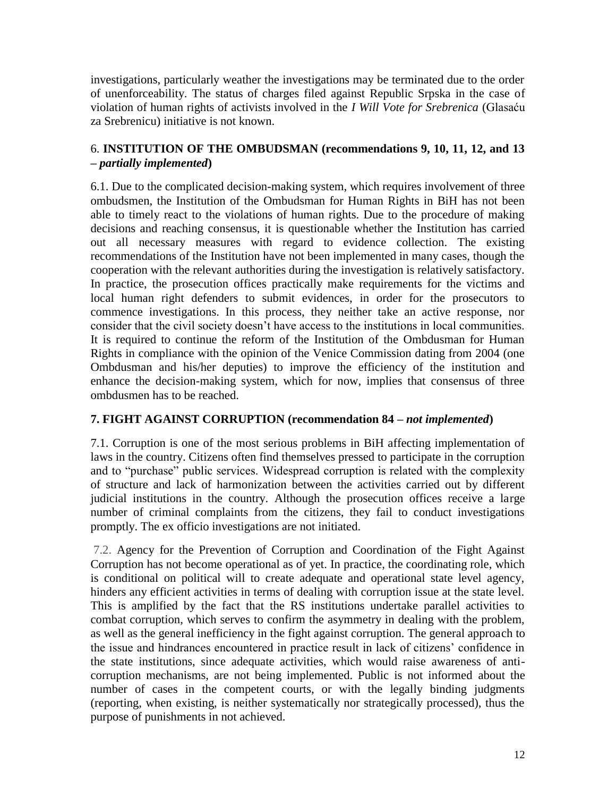investigations, particularly weather the investigations may be terminated due to the order of unenforceability. The status of charges filed against Republic Srpska in the case of violation of human rights of activists involved in the *I Will Vote for Srebrenica* (Glasaću za Srebrenicu) initiative is not known.

# 6. **INSTITUTION OF THE OMBUDSMAN (recommendations 9, 10, 11, 12, and 13 –** *partially implemented***)**

6.1. Due to the complicated decision-making system, which requires involvement of three ombudsmen, the Institution of the Ombudsman for Human Rights in BiH has not been able to timely react to the violations of human rights. Due to the procedure of making decisions and reaching consensus, it is questionable whether the Institution has carried out all necessary measures with regard to evidence collection. The existing recommendations of the Institution have not been implemented in many cases, though the cooperation with the relevant authorities during the investigation is relatively satisfactory. In practice, the prosecution offices practically make requirements for the victims and local human right defenders to submit evidences, in order for the prosecutors to commence investigations. In this process, they neither take an active response, nor consider that the civil society doesn't have access to the institutions in local communities. It is required to continue the reform of the Institution of the Ombdusman for Human Rights in compliance with the opinion of the Venice Commission dating from 2004 (one Ombdusman and his/her deputies) to improve the efficiency of the institution and enhance the decision-making system, which for now, implies that consensus of three ombdusmen has to be reached.

# **7. FIGHT AGAINST CORRUPTION (recommendation 84 –** *not implemented***)**

7.1. Corruption is one of the most serious problems in BiH affecting implementation of laws in the country. Citizens often find themselves pressed to participate in the corruption and to "purchase" public services. Widespread corruption is related with the complexity of structure and lack of harmonization between the activities carried out by different judicial institutions in the country. Although the prosecution offices receive a large number of criminal complaints from the citizens, they fail to conduct investigations promptly. The ex officio investigations are not initiated.

7.2. Agency for the Prevention of Corruption and Coordination of the Fight Against Corruption has not become operational as of yet. In practice, the coordinating role, which is conditional on political will to create adequate and operational state level agency, hinders any efficient activities in terms of dealing with corruption issue at the state level. This is amplified by the fact that the RS institutions undertake parallel activities to combat corruption, which serves to confirm the asymmetry in dealing with the problem, as well as the general inefficiency in the fight against corruption. The general approach to the issue and hindrances encountered in practice result in lack of citizens' confidence in the state institutions, since adequate activities, which would raise awareness of anticorruption mechanisms, are not being implemented. Public is not informed about the number of cases in the competent courts, or with the legally binding judgments (reporting, when existing, is neither systematically nor strategically processed), thus the purpose of punishments in not achieved.